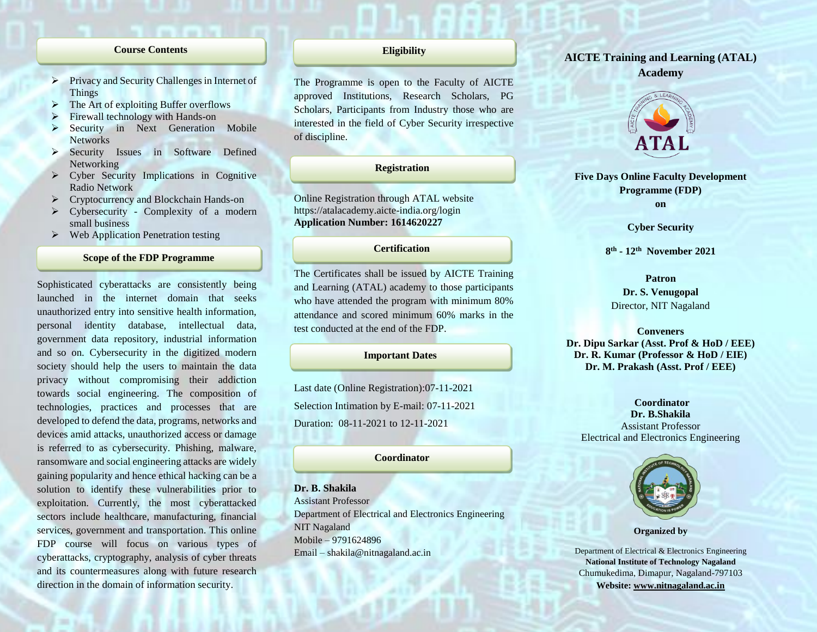#### **Course Contents**

- $\triangleright$  Privacy and Security Challenges in Internet of Things
- The Art of exploiting Buffer overflows
- Firewall technology with Hands-on
- Security in Next Generation Mobile **Networks**
- Security Issues in Software Defined Networking
- Cyber Security Implications in Cognitive Radio Network
- Cryptocurrency and Blockchain Hands-on
- Cybersecurity Complexity of a modern small business
- $\triangleright$  Web Application Penetration testing

## **Scope of the FDP Programme**

Sophisticated cyberattacks are consistently being launched in the internet domain that seeks unauthorized entry into sensitive health information, personal identity database, intellectual data, government data repository, industrial information and so on. Cybersecurity in the digitized modern society should help the users to maintain the data privacy without compromising their addiction towards social engineering. The composition of technologies, practices and processes that are developed to defend the data, programs, networks and devices amid attacks, unauthorized access or damage is referred to as cybersecurity. Phishing, malware, ransomware and social engineering attacks are widely gaining popularity and hence ethical hacking can be a solution to identify these vulnerabilities prior to exploitation. Currently, the most cyberattacked sectors include healthcare, manufacturing, financial services, government and transportation. This online FDP course will focus on various types of cyberattacks, cryptography, analysis of cyber threats and its countermeasures along with future research direction in the domain of information security.

## **Eligibility**

The Programme is open to the Faculty of AICTE approved Institutions, Research Scholars, PG Scholars, Participants from Industry those who are interested in the field of Cyber Security irrespective of discipline.

## **Registration**

Online Registration through ATAL website https://atalacademy.aicte-india.org/login **Application Number: 1614620227**

## **Certification**

The Certificates shall be issued by AICTE Training and Learning (ATAL) academy to those participants who have attended the program with minimum 80% attendance and scored minimum 60% marks in the test conducted at the end of the FDP.

#### **Important Dates**

Last date (Online Registration):07-11-2021 Selection Intimation by E-mail: 07-11-2021 Duration: 08-11-2021 to 12-11-2021

#### **Coordinator**

**Dr. B. Shakila** Assistant Professor Department of Electrical and Electronics Engineering NIT Nagaland Mobile – 9791624896 Email – shakila@nitnagaland.ac.in

# **AICTE Training and Learning (ATAL) Academy**



**Five Days Online Faculty Development Programme (FDP) on**

**Cyber Security**

### **8 th - 12th November 2021**

**Patron Dr. S. Venugopal** Director, NIT Nagaland

**Conveners Dr. Dipu Sarkar (Asst. Prof & HoD / EEE) Dr. R. Kumar (Professor & HoD / EIE) Dr. M. Prakash (Asst. Prof / EEE)**

## **Coordinator Dr. B.Shakila** Assistant Professor Electrical and Electronics Engineering



**Organized by**

Department of Electrical & Electronics Engineering **National Institute of Technology Nagaland** Chumukedima, Dimapur, Nagaland-797103 **Website: [www.nitnagaland.ac.in](http://www.nitnagaland.ac.in/)**